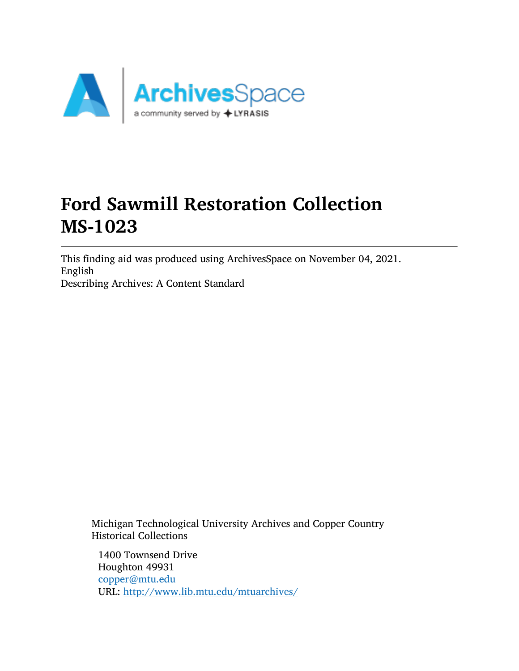

# Ford Sawmill Restoration Collection MS-1023

This finding aid was produced using ArchivesSpace on November 04, 2021. English Describing Archives: A Content Standard

Michigan Technological University Archives and Copper Country Historical Collections

1400 Townsend Drive Houghton 49931 [copper@mtu.edu](mailto:copper@mtu.edu) URL: <http://www.lib.mtu.edu/mtuarchives/>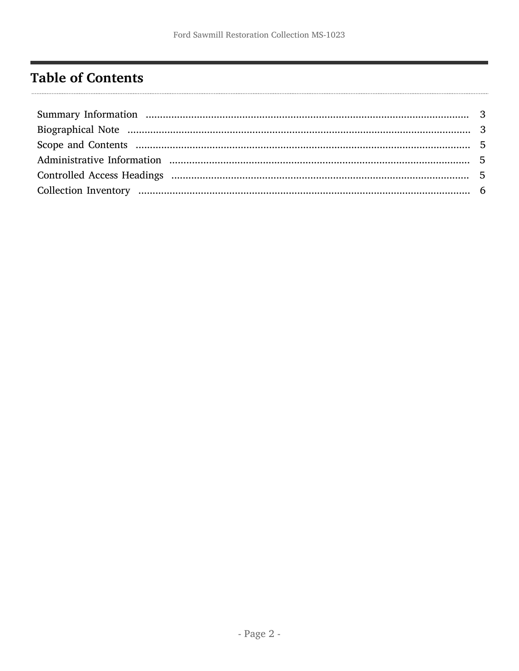# <span id="page-1-0"></span>**Table of Contents**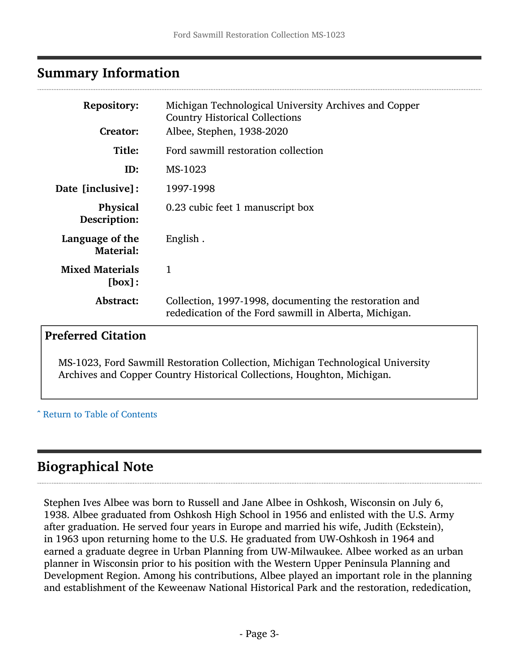#### <span id="page-2-0"></span>Summary Information

| <b>Repository:</b><br><b>Creator:</b> | Michigan Technological University Archives and Copper<br><b>Country Historical Collections</b><br>Albee, Stephen, 1938-2020 |  |
|---------------------------------------|-----------------------------------------------------------------------------------------------------------------------------|--|
| Title:                                | Ford sawmill restoration collection                                                                                         |  |
| ID:                                   | MS-1023                                                                                                                     |  |
| Date [inclusive]:                     | 1997-1998                                                                                                                   |  |
| <b>Physical</b><br>Description:       | 0.23 cubic feet 1 manuscript box                                                                                            |  |
| Language of the<br><b>Material:</b>   | English.                                                                                                                    |  |
| <b>Mixed Materials</b><br>[box]:      | 1                                                                                                                           |  |
| Abstract:                             | Collection, 1997-1998, documenting the restoration and<br>rededication of the Ford sawmill in Alberta, Michigan.            |  |

#### Preferred Citation

MS-1023, Ford Sawmill Restoration Collection, Michigan Technological University Archives and Copper Country Historical Collections, Houghton, Michigan.

#### ^ [Return to Table of Contents](#page-1-0)

### <span id="page-2-1"></span>Biographical Note

Stephen Ives Albee was born to Russell and Jane Albee in Oshkosh, Wisconsin on July 6, 1938. Albee graduated from Oshkosh High School in 1956 and enlisted with the U.S. Army after graduation. He served four years in Europe and married his wife, Judith (Eckstein), in 1963 upon returning home to the U.S. He graduated from UW-Oshkosh in 1964 and earned a graduate degree in Urban Planning from UW-Milwaukee. Albee worked as an urban planner in Wisconsin prior to his position with the Western Upper Peninsula Planning and Development Region. Among his contributions, Albee played an important role in the planning and establishment of the Keweenaw National Historical Park and the restoration, rededication,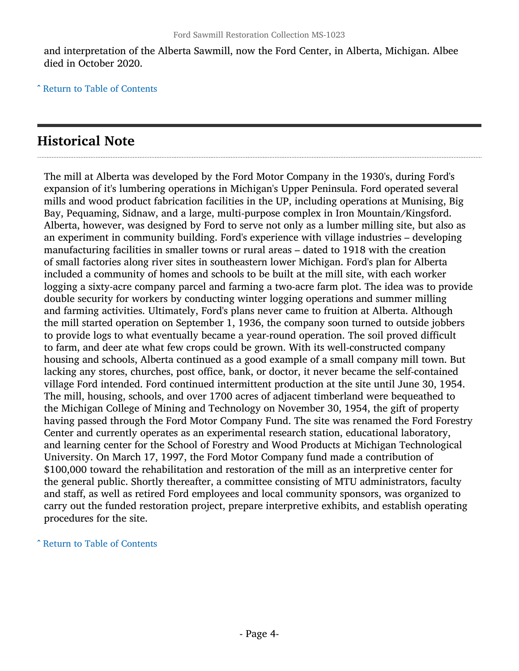and interpretation of the Alberta Sawmill, now the Ford Center, in Alberta, Michigan. Albee died in October 2020.

^ [Return to Table of Contents](#page-1-0)

### Historical Note

The mill at Alberta was developed by the Ford Motor Company in the 1930's, during Ford's expansion of it's lumbering operations in Michigan's Upper Peninsula. Ford operated several mills and wood product fabrication facilities in the UP, including operations at Munising, Big Bay, Pequaming, Sidnaw, and a large, multi-purpose complex in Iron Mountain/Kingsford. Alberta, however, was designed by Ford to serve not only as a lumber milling site, but also as an experiment in community building. Ford's experience with village industries – developing manufacturing facilities in smaller towns or rural areas – dated to 1918 with the creation of small factories along river sites in southeastern lower Michigan. Ford's plan for Alberta included a community of homes and schools to be built at the mill site, with each worker logging a sixty-acre company parcel and farming a two-acre farm plot. The idea was to provide double security for workers by conducting winter logging operations and summer milling and farming activities. Ultimately, Ford's plans never came to fruition at Alberta. Although the mill started operation on September 1, 1936, the company soon turned to outside jobbers to provide logs to what eventually became a year-round operation. The soil proved difficult to farm, and deer ate what few crops could be grown. With its well-constructed company housing and schools, Alberta continued as a good example of a small company mill town. But lacking any stores, churches, post office, bank, or doctor, it never became the self-contained village Ford intended. Ford continued intermittent production at the site until June 30, 1954. The mill, housing, schools, and over 1700 acres of adjacent timberland were bequeathed to the Michigan College of Mining and Technology on November 30, 1954, the gift of property having passed through the Ford Motor Company Fund. The site was renamed the Ford Forestry Center and currently operates as an experimental research station, educational laboratory, and learning center for the School of Forestry and Wood Products at Michigan Technological University. On March 17, 1997, the Ford Motor Company fund made a contribution of \$100,000 toward the rehabilitation and restoration of the mill as an interpretive center for the general public. Shortly thereafter, a committee consisting of MTU administrators, faculty and staff, as well as retired Ford employees and local community sponsors, was organized to carry out the funded restoration project, prepare interpretive exhibits, and establish operating procedures for the site.

^ [Return to Table of Contents](#page-1-0)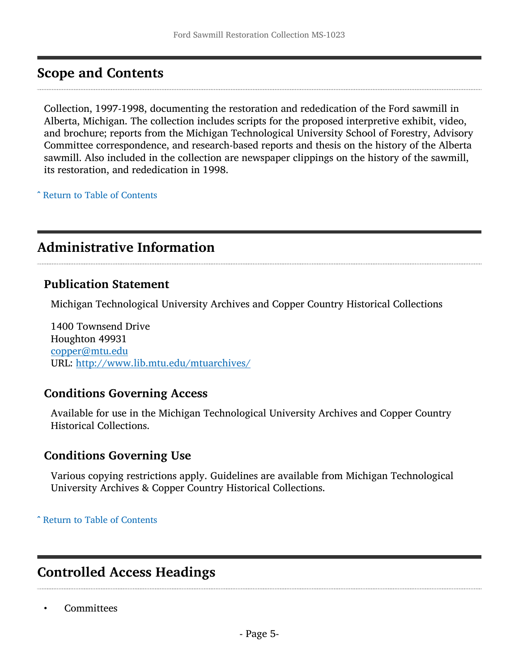### <span id="page-4-0"></span>Scope and Contents

Collection, 1997-1998, documenting the restoration and rededication of the Ford sawmill in Alberta, Michigan. The collection includes scripts for the proposed interpretive exhibit, video, and brochure; reports from the Michigan Technological University School of Forestry, Advisory Committee correspondence, and research-based reports and thesis on the history of the Alberta sawmill. Also included in the collection are newspaper clippings on the history of the sawmill, its restoration, and rededication in 1998.

^ [Return to Table of Contents](#page-1-0)

### <span id="page-4-1"></span>Administrative Information

#### Publication Statement

Michigan Technological University Archives and Copper Country Historical Collections

1400 Townsend Drive Houghton 49931 [copper@mtu.edu](mailto:copper@mtu.edu) URL: <http://www.lib.mtu.edu/mtuarchives/>

#### Conditions Governing Access

Available for use in the Michigan Technological University Archives and Copper Country Historical Collections.

#### Conditions Governing Use

Various copying restrictions apply. Guidelines are available from Michigan Technological University Archives & Copper Country Historical Collections.

^ [Return to Table of Contents](#page-1-0)

### <span id="page-4-2"></span>Controlled Access Headings

• Committees